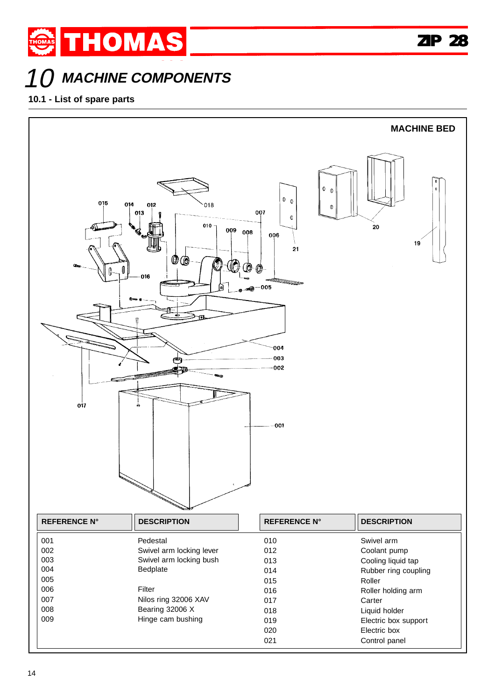## **MACHINE COMPONENTS**

## **10.1 - List of spare parts**

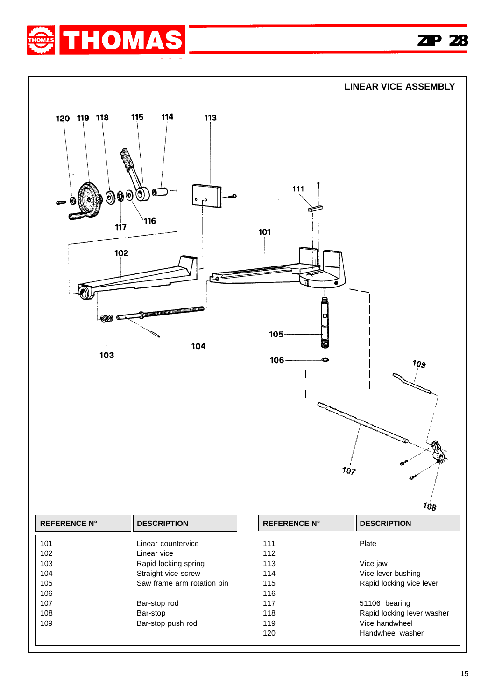

**ZIP 28 ZIP 28**



| 102 | Linear vice                | 112 |                            |
|-----|----------------------------|-----|----------------------------|
| 103 | Rapid locking spring       | 113 | Vice jaw                   |
| 104 | Straight vice screw        | 114 | Vice lever bushing         |
| 105 | Saw frame arm rotation pin | 115 | Rapid locking vice lever   |
| 106 |                            | 116 |                            |
| 107 | Bar-stop rod               | 117 | 51106 bearing              |
| 108 | Bar-stop                   | 118 | Rapid locking lever washer |
| 109 | Bar-stop push rod          | 119 | Vice handwheel             |
|     |                            | 120 | Handwheel washer           |
|     |                            |     |                            |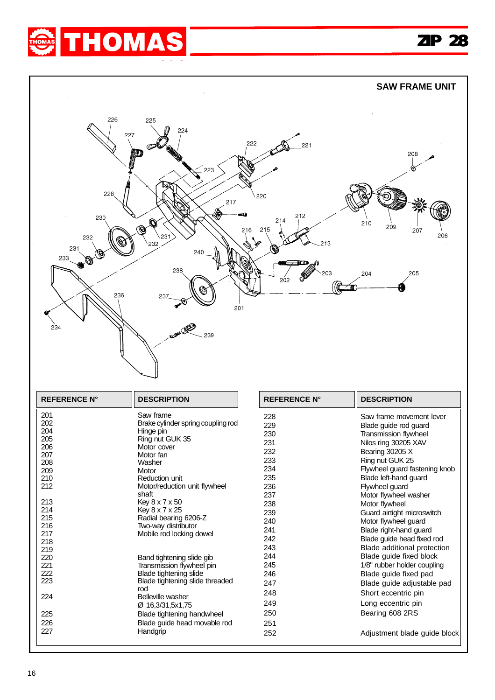



| zuo        | vvasner                         | ື   | .                             |
|------------|---------------------------------|-----|-------------------------------|
| 209        | Motor                           | 234 | Flywheel guard fastening knob |
| 210        | Reduction unit                  | 235 | Blade left-hand quard         |
| 212        | Motor/reduction unit flywheel   | 236 | Flywheel guard                |
|            | shaft                           | 237 | Motor flywheel washer         |
| 213        | Key 8 x 7 x 50                  | 238 | Motor flywheel                |
| 214        | Key 8 x 7 x 25                  | 239 | Guard airtight microswitch    |
| 215        | Radial bearing 6206-Z           | 240 | Motor flywheel guard          |
| 216        | Two-way distributor             | 241 | Blade right-hand guard        |
| 217<br>218 | Mobile rod locking dowel        | 242 | Blade quide head fixed rod    |
| 219        |                                 | 243 | Blade additional protection   |
| 220        | Band tightening slide gib       | 244 | Blade guide fixed block       |
| 221        | Transmission flywheel pin       | 245 | 1/8" rubber holder coupling   |
| 222        | Blade tightening slide          | 246 | Blade guide fixed pad         |
| 223        | Blade tightening slide threaded | 247 | Blade guide adjustable pad    |
| 224        | rod<br>Belleville washer        | 248 | Short eccentric pin           |
|            | Ø 16,3/31,5x1,75                | 249 | Long eccentric pin            |
| 225        | Blade tightening handwheel      | 250 | Bearing 608 2RS               |
| 226        | Blade quide head movable rod    | 251 |                               |
| 227        | Handgrip                        | 252 | Adjustment blade guide block  |
|            |                                 |     |                               |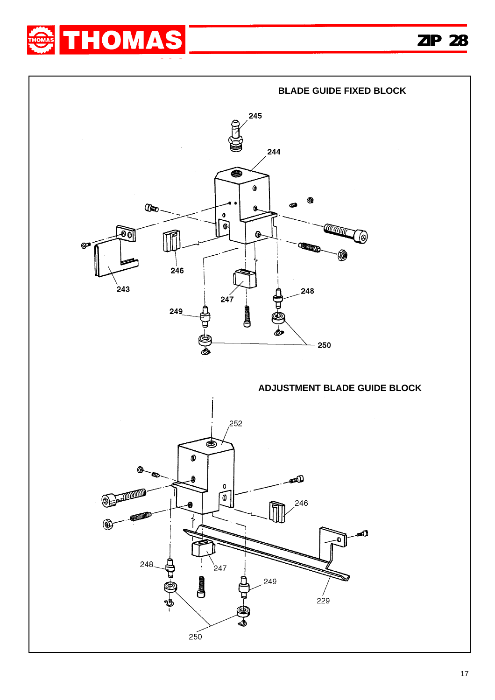



## **ADJUSTMENT BLADE GUIDE BLOCK**